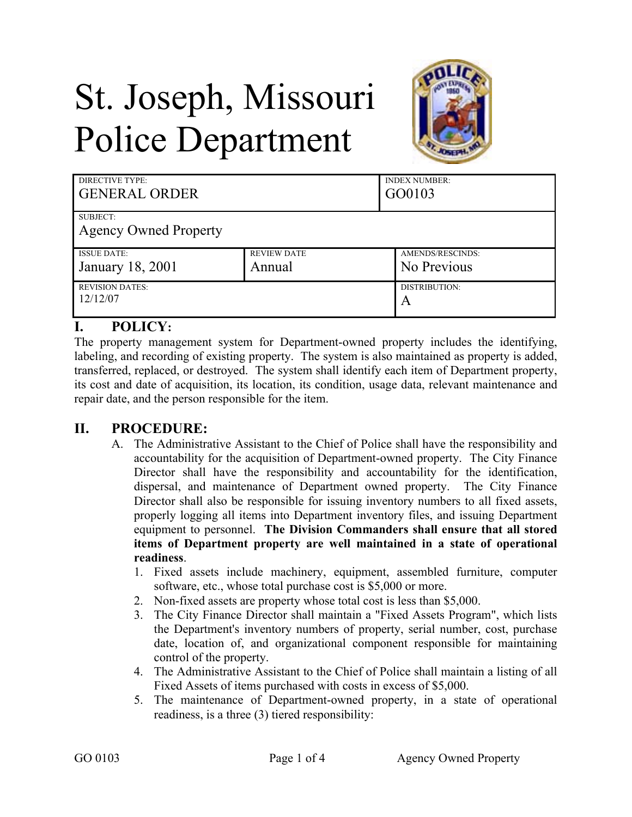# St. Joseph, Missouri Police Department



| DIRECTIVE TYPE:<br><b>GENERAL ORDER</b>  |                    | <b>INDEX NUMBER:</b><br>GO0103 |
|------------------------------------------|--------------------|--------------------------------|
| SUBJECT:<br><b>Agency Owned Property</b> |                    |                                |
| <b>ISSUE DATE:</b>                       | <b>REVIEW DATE</b> | AMENDS/RESCINDS:               |
| January 18, 2001                         | Annual             | No Previous                    |
| <b>REVISION DATES:</b>                   |                    | DISTRIBUTION:                  |
| 12/12/07                                 |                    | A                              |

# **I. POLICY:**

The property management system for Department-owned property includes the identifying, labeling, and recording of existing property. The system is also maintained as property is added, transferred, replaced, or destroyed. The system shall identify each item of Department property, its cost and date of acquisition, its location, its condition, usage data, relevant maintenance and repair date, and the person responsible for the item.

## **II. PROCEDURE:**

- A. The Administrative Assistant to the Chief of Police shall have the responsibility and accountability for the acquisition of Department-owned property. The City Finance Director shall have the responsibility and accountability for the identification, dispersal, and maintenance of Department owned property. The City Finance Director shall also be responsible for issuing inventory numbers to all fixed assets, properly logging all items into Department inventory files, and issuing Department equipment to personnel. **The Division Commanders shall ensure that all stored items of Department property are well maintained in a state of operational readiness**.
	- 1. Fixed assets include machinery, equipment, assembled furniture, computer software, etc., whose total purchase cost is \$5,000 or more.
	- 2. Non-fixed assets are property whose total cost is less than \$5,000.
	- 3. The City Finance Director shall maintain a "Fixed Assets Program", which lists the Department's inventory numbers of property, serial number, cost, purchase date, location of, and organizational component responsible for maintaining control of the property.
	- 4. The Administrative Assistant to the Chief of Police shall maintain a listing of all Fixed Assets of items purchased with costs in excess of \$5,000.
	- 5. The maintenance of Department-owned property, in a state of operational readiness, is a three (3) tiered responsibility: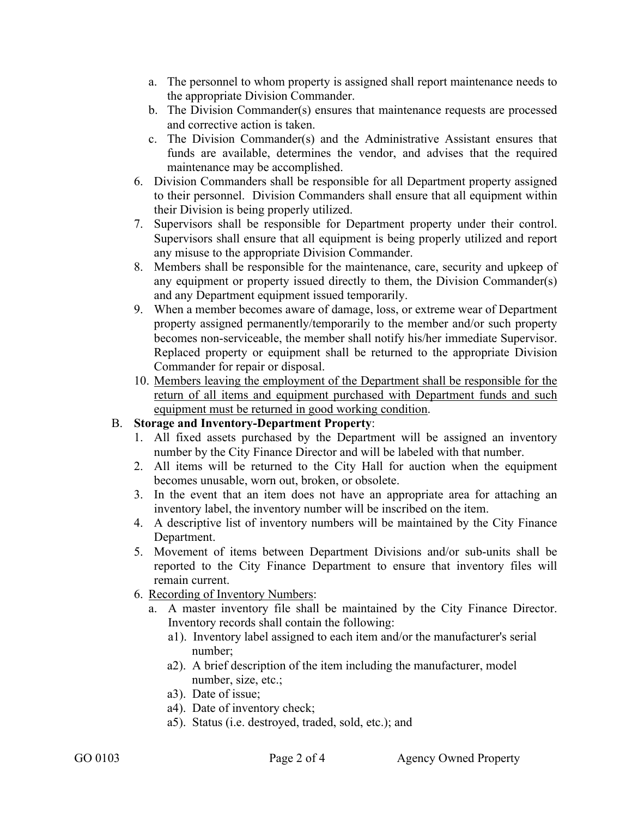- a. The personnel to whom property is assigned shall report maintenance needs to the appropriate Division Commander.
- b. The Division Commander(s) ensures that maintenance requests are processed and corrective action is taken.
- c. The Division Commander(s) and the Administrative Assistant ensures that funds are available, determines the vendor, and advises that the required maintenance may be accomplished.
- 6. Division Commanders shall be responsible for all Department property assigned to their personnel. Division Commanders shall ensure that all equipment within their Division is being properly utilized.
- 7. Supervisors shall be responsible for Department property under their control. Supervisors shall ensure that all equipment is being properly utilized and report any misuse to the appropriate Division Commander.
- 8. Members shall be responsible for the maintenance, care, security and upkeep of any equipment or property issued directly to them, the Division Commander(s) and any Department equipment issued temporarily.
- 9. When a member becomes aware of damage, loss, or extreme wear of Department property assigned permanently/temporarily to the member and/or such property becomes non-serviceable, the member shall notify his/her immediate Supervisor. Replaced property or equipment shall be returned to the appropriate Division Commander for repair or disposal.
- 10. Members leaving the employment of the Department shall be responsible for the return of all items and equipment purchased with Department funds and such equipment must be returned in good working condition.

#### B. **Storage and Inventory-Department Property**:

- 1. All fixed assets purchased by the Department will be assigned an inventory number by the City Finance Director and will be labeled with that number.
- 2. All items will be returned to the City Hall for auction when the equipment becomes unusable, worn out, broken, or obsolete.
- 3. In the event that an item does not have an appropriate area for attaching an inventory label, the inventory number will be inscribed on the item.
- 4. A descriptive list of inventory numbers will be maintained by the City Finance Department.
- 5. Movement of items between Department Divisions and/or sub-units shall be reported to the City Finance Department to ensure that inventory files will remain current.
- 6. Recording of Inventory Numbers:
	- a. A master inventory file shall be maintained by the City Finance Director. Inventory records shall contain the following:
		- a1). Inventory label assigned to each item and/or the manufacturer's serial number;
		- a2). A brief description of the item including the manufacturer, model number, size, etc.;
		- a3). Date of issue;
		- a4). Date of inventory check;
		- a5). Status (i.e. destroyed, traded, sold, etc.); and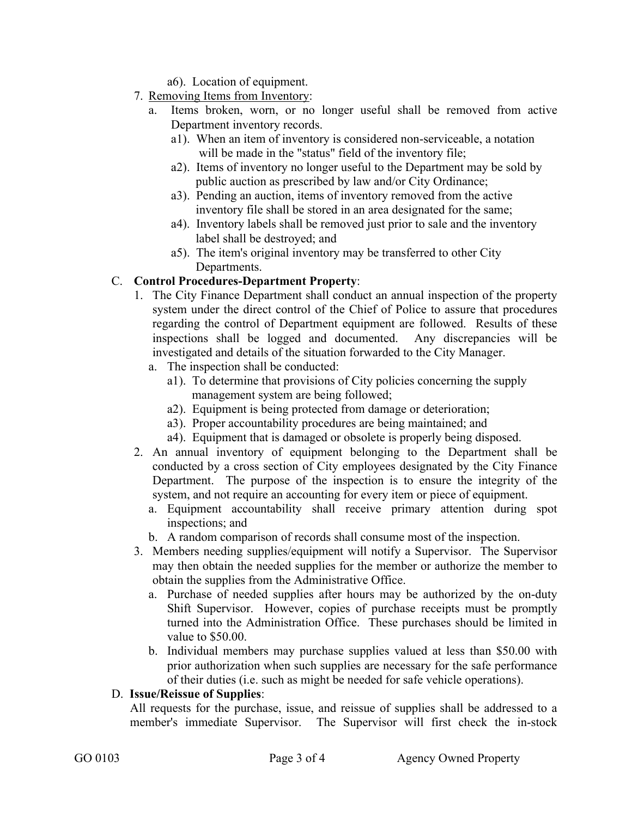a6). Location of equipment.

- 7. Removing Items from Inventory:
	- a. Items broken, worn, or no longer useful shall be removed from active Department inventory records.
		- a1). When an item of inventory is considered non-serviceable, a notation will be made in the "status" field of the inventory file;
		- a2). Items of inventory no longer useful to the Department may be sold by public auction as prescribed by law and/or City Ordinance;
		- a3). Pending an auction, items of inventory removed from the active inventory file shall be stored in an area designated for the same;
		- a4). Inventory labels shall be removed just prior to sale and the inventory label shall be destroyed; and
		- a5). The item's original inventory may be transferred to other City Departments.

# C. **Control Procedures-Department Property**:

- 1. The City Finance Department shall conduct an annual inspection of the property system under the direct control of the Chief of Police to assure that procedures regarding the control of Department equipment are followed. Results of these inspections shall be logged and documented. Any discrepancies will be investigated and details of the situation forwarded to the City Manager.
	- a. The inspection shall be conducted:
		- a1). To determine that provisions of City policies concerning the supply management system are being followed;
		- a2). Equipment is being protected from damage or deterioration;
		- a3). Proper accountability procedures are being maintained; and
		- a4). Equipment that is damaged or obsolete is properly being disposed.
- 2. An annual inventory of equipment belonging to the Department shall be conducted by a cross section of City employees designated by the City Finance Department. The purpose of the inspection is to ensure the integrity of the system, and not require an accounting for every item or piece of equipment.
	- a. Equipment accountability shall receive primary attention during spot inspections; and
	- b. A random comparison of records shall consume most of the inspection.
- 3. Members needing supplies/equipment will notify a Supervisor. The Supervisor may then obtain the needed supplies for the member or authorize the member to obtain the supplies from the Administrative Office.
	- a. Purchase of needed supplies after hours may be authorized by the on-duty Shift Supervisor. However, copies of purchase receipts must be promptly turned into the Administration Office. These purchases should be limited in value to \$50.00.
	- b. Individual members may purchase supplies valued at less than \$50.00 with prior authorization when such supplies are necessary for the safe performance of their duties (i.e. such as might be needed for safe vehicle operations).

## D. **Issue/Reissue of Supplies**:

All requests for the purchase, issue, and reissue of supplies shall be addressed to a member's immediate Supervisor. The Supervisor will first check the in-stock